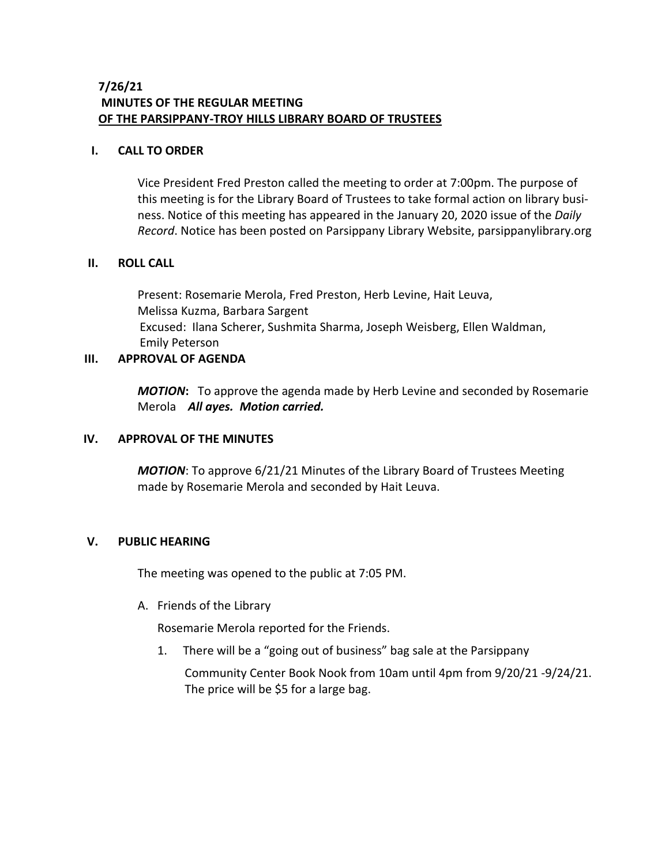### **7/26/21 MINUTES OF THE REGULAR MEETING OF THE PARSIPPANY-TROY HILLS LIBRARY BOARD OF TRUSTEES**

### **I. CALL TO ORDER**

Vice President Fred Preston called the meeting to order at 7:00pm. The purpose of this meeting is for the Library Board of Trustees to take formal action on library business. Notice of this meeting has appeared in the January 20, 2020 issue of the *Daily Record*. Notice has been posted on Parsippany Library Website, parsippanylibrary.org

#### **II. ROLL CALL**

Present: Rosemarie Merola, Fred Preston, Herb Levine, Hait Leuva, Melissa Kuzma, Barbara Sargent Excused: Ilana Scherer, Sushmita Sharma, Joseph Weisberg, Ellen Waldman, Emily Peterson

### **III. APPROVAL OF AGENDA**

*MOTION***:** To approve the agenda made by Herb Levine and seconded by Rosemarie Merola *All ayes. Motion carried.*

#### **IV. APPROVAL OF THE MINUTES**

*MOTION*: To approve 6/21/21 Minutes of the Library Board of Trustees Meeting made by Rosemarie Merola and seconded by Hait Leuva.

### **V. PUBLIC HEARING**

The meeting was opened to the public at 7:05 PM.

A. Friends of the Library

Rosemarie Merola reported for the Friends.

1. There will be a "going out of business" bag sale at the Parsippany

Community Center Book Nook from 10am until 4pm from 9/20/21 -9/24/21. The price will be \$5 for a large bag.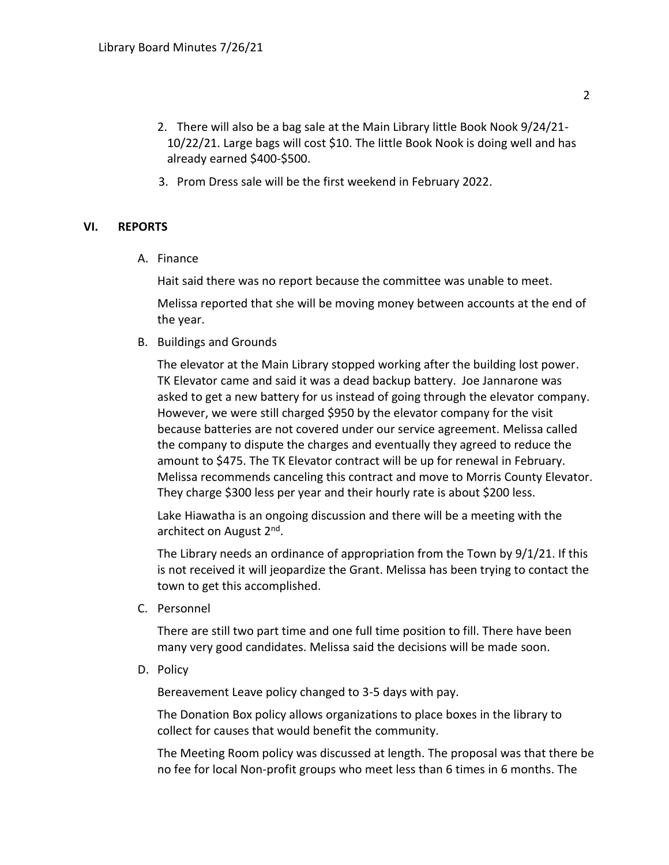- 2. There will also be a bag sale at the Main Library little Book Nook 9/24/21- 10/22/21. Large bags will cost \$10. The little Book Nook is doing well and has already earned \$400-\$500.
- 3. Prom Dress sale will be the first weekend in February 2022.

### **VI. REPORTS**

A. Finance

Hait said there was no report because the committee was unable to meet.

Melissa reported that she will be moving money between accounts at the end of the year.

B. Buildings and Grounds

The elevator at the Main Library stopped working after the building lost power. TK Elevator came and said it was a dead backup battery. Joe Jannarone was asked to get a new battery for us instead of going through the elevator company. However, we were still charged \$950 by the elevator company for the visit because batteries are not covered under our service agreement. Melissa called the company to dispute the charges and eventually they agreed to reduce the amount to \$475. The TK Elevator contract will be up for renewal in February. Melissa recommends canceling this contract and move to Morris County Elevator. They charge \$300 less per year and their hourly rate is about \$200 less.

Lake Hiawatha is an ongoing discussion and there will be a meeting with the architect on August 2<sup>nd</sup>.

The Library needs an ordinance of appropriation from the Town by 9/1/21. If this is not received it will jeopardize the Grant. Melissa has been trying to contact the town to get this accomplished.

C. Personnel

There are still two part time and one full time position to fill. There have been many very good candidates. Melissa said the decisions will be made soon.

D. Policy

Bereavement Leave policy changed to 3-5 days with pay.

The Donation Box policy allows organizations to place boxes in the library to collect for causes that would benefit the community.

The Meeting Room policy was discussed at length. The proposal was that there be no fee for local Non-profit groups who meet less than 6 times in 6 months. The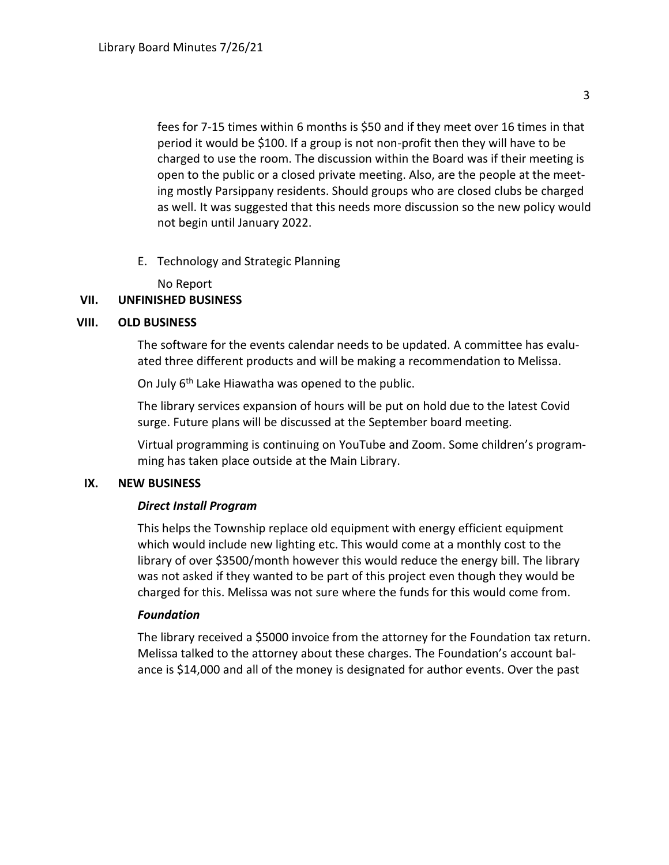fees for 7-15 times within 6 months is \$50 and if they meet over 16 times in that period it would be \$100. If a group is not non-profit then they will have to be charged to use the room. The discussion within the Board was if their meeting is open to the public or a closed private meeting. Also, are the people at the meeting mostly Parsippany residents. Should groups who are closed clubs be charged as well. It was suggested that this needs more discussion so the new policy would not begin until January 2022.

E. Technology and Strategic Planning

No Report

# **VII. UNFINISHED BUSINESS**

### **VIII. OLD BUSINESS**

The software for the events calendar needs to be updated. A committee has evaluated three different products and will be making a recommendation to Melissa.

On July 6<sup>th</sup> Lake Hiawatha was opened to the public.

The library services expansion of hours will be put on hold due to the latest Covid surge. Future plans will be discussed at the September board meeting.

Virtual programming is continuing on YouTube and Zoom. Some children's programming has taken place outside at the Main Library.

## **IX. NEW BUSINESS**

## *Direct Install Program*

This helps the Township replace old equipment with energy efficient equipment which would include new lighting etc. This would come at a monthly cost to the library of over \$3500/month however this would reduce the energy bill. The library was not asked if they wanted to be part of this project even though they would be charged for this. Melissa was not sure where the funds for this would come from.

## *Foundation*

The library received a \$5000 invoice from the attorney for the Foundation tax return. Melissa talked to the attorney about these charges. The Foundation's account balance is \$14,000 and all of the money is designated for author events. Over the past

3